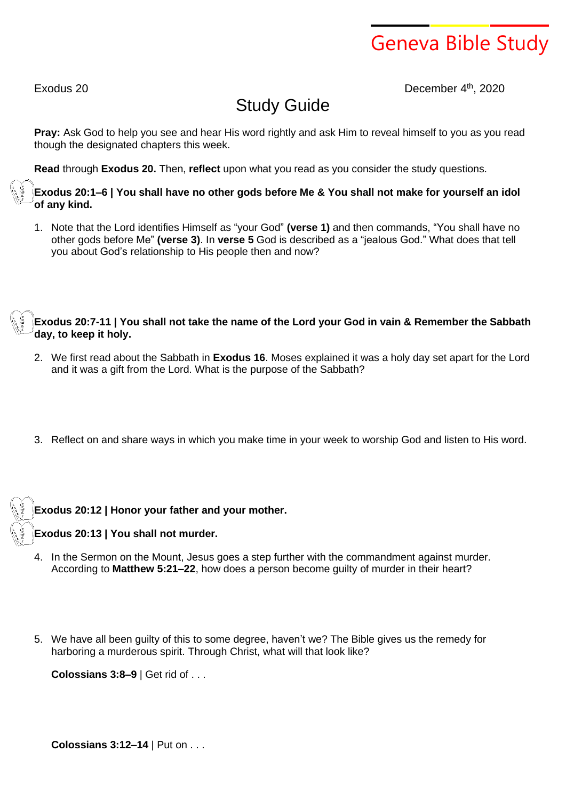# Geneva Bible Study

Exodus 20 December 4 th , 2020

# Study Guide

**Pray:** Ask God to help you see and hear His word rightly and ask Him to reveal himself to you as you read though the designated chapters this week.

**Read** through **Exodus 20.** Then, **reflect** upon what you read as you consider the study questions.

Exodus 20:1–6 | You shall have no other gods before Me & You shall not make for yourself an idol **of any kind.**

1. Note that the Lord identifies Himself as "your God" **(verse 1)** and then commands, "You shall have no other gods before Me" **(verse 3)**. In **verse 5** God is described as a "jealous God." What does that tell you about God's relationship to His people then and now?

Exodus 20:7-11 | You shall not take the name of the Lord your God in vain & Remember the Sabbath **day, to keep it holy.**

- 2. We first read about the Sabbath in **Exodus 16**. Moses explained it was a holy day set apart for the Lord and it was a gift from the Lord. What is the purpose of the Sabbath?
- 3. Reflect on and share ways in which you make time in your week to worship God and listen to His word.

**Exodus 20:12 | Honor your father and your mother.**

**Exodus 20:13 | You shall not murder.**

- 4. In the Sermon on the Mount, Jesus goes a step further with the commandment against murder. According to **Matthew 5:21–22**, how does a person become guilty of murder in their heart?
- 5. We have all been guilty of this to some degree, haven't we? The Bible gives us the remedy for harboring a murderous spirit. Through Christ, what will that look like?

**Colossians 3:8–9** | Get rid of . . .

**Colossians 3:12–14** | Put on . . .